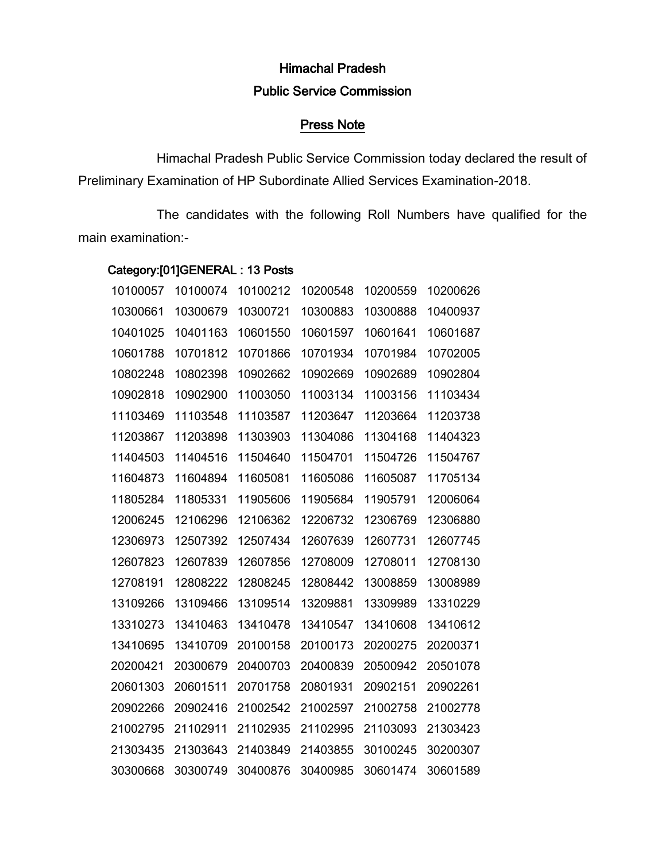# Himachal Pradesh Public Service Commission

## Press Note

Himachal Pradesh Public Service Commission today declared the result of Preliminary Examination of HP Subordinate Allied Services Examination-2018.

The candidates with the following Roll Numbers have qualified for the main examination:-

## Category:[01]GENERAL : 13 Posts

| 10100057 | 10100074 | 10100212 | 10200548 | 10200559 | 10200626 |
|----------|----------|----------|----------|----------|----------|
| 10300661 | 10300679 | 10300721 | 10300883 | 10300888 | 10400937 |
| 10401025 | 10401163 | 10601550 | 10601597 | 10601641 | 10601687 |
| 10601788 | 10701812 | 10701866 | 10701934 | 10701984 | 10702005 |
| 10802248 | 10802398 | 10902662 | 10902669 | 10902689 | 10902804 |
| 10902818 | 10902900 | 11003050 | 11003134 | 11003156 | 11103434 |
| 11103469 | 11103548 | 11103587 | 11203647 | 11203664 | 11203738 |
| 11203867 | 11203898 | 11303903 | 11304086 | 11304168 | 11404323 |
| 11404503 | 11404516 | 11504640 | 11504701 | 11504726 | 11504767 |
| 11604873 | 11604894 | 11605081 | 11605086 | 11605087 | 11705134 |
| 11805284 | 11805331 | 11905606 | 11905684 | 11905791 | 12006064 |
| 12006245 | 12106296 | 12106362 | 12206732 | 12306769 | 12306880 |
| 12306973 | 12507392 | 12507434 | 12607639 | 12607731 | 12607745 |
| 12607823 | 12607839 | 12607856 | 12708009 | 12708011 | 12708130 |
| 12708191 | 12808222 | 12808245 | 12808442 | 13008859 | 13008989 |
| 13109266 | 13109466 | 13109514 | 13209881 | 13309989 | 13310229 |
| 13310273 | 13410463 | 13410478 | 13410547 | 13410608 | 13410612 |
| 13410695 | 13410709 | 20100158 | 20100173 | 20200275 | 20200371 |
| 20200421 | 20300679 | 20400703 | 20400839 | 20500942 | 20501078 |
| 20601303 | 20601511 | 20701758 | 20801931 | 20902151 | 20902261 |
| 20902266 | 20902416 | 21002542 | 21002597 | 21002758 | 21002778 |
| 21002795 | 21102911 | 21102935 | 21102995 | 21103093 | 21303423 |
| 21303435 | 21303643 | 21403849 | 21403855 | 30100245 | 30200307 |
| 30300668 | 30300749 | 30400876 | 30400985 | 30601474 | 30601589 |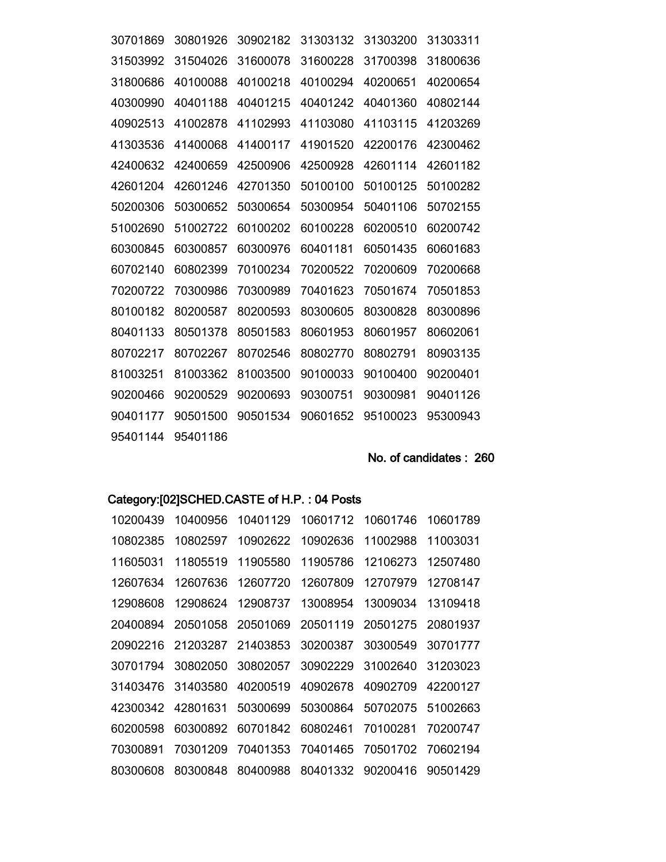| 30701869 | 30801926 | 30902182 | 31303132 | 31303200 | 31303311 |
|----------|----------|----------|----------|----------|----------|
| 31503992 | 31504026 | 31600078 | 31600228 | 31700398 | 31800636 |
| 31800686 | 40100088 | 40100218 | 40100294 | 40200651 | 40200654 |
| 40300990 | 40401188 | 40401215 | 40401242 | 40401360 | 40802144 |
| 40902513 | 41002878 | 41102993 | 41103080 | 41103115 | 41203269 |
| 41303536 | 41400068 | 41400117 | 41901520 | 42200176 | 42300462 |
| 42400632 | 42400659 | 42500906 | 42500928 | 42601114 | 42601182 |
| 42601204 | 42601246 | 42701350 | 50100100 | 50100125 | 50100282 |
| 50200306 | 50300652 | 50300654 | 50300954 | 50401106 | 50702155 |
| 51002690 | 51002722 | 60100202 | 60100228 | 60200510 | 60200742 |
| 60300845 | 60300857 | 60300976 | 60401181 | 60501435 | 60601683 |
| 60702140 | 60802399 | 70100234 | 70200522 | 70200609 | 70200668 |
| 70200722 | 70300986 | 70300989 | 70401623 | 70501674 | 70501853 |
| 80100182 | 80200587 | 80200593 | 80300605 | 80300828 | 80300896 |
| 80401133 | 80501378 | 80501583 | 80601953 | 80601957 | 80602061 |
| 80702217 | 80702267 | 80702546 | 80802770 | 80802791 | 80903135 |
| 81003251 | 81003362 | 81003500 | 90100033 | 90100400 | 90200401 |
| 90200466 | 90200529 | 90200693 | 90300751 | 90300981 | 90401126 |
| 90401177 | 90501500 | 90501534 | 90601652 | 95100023 | 95300943 |
| 95401144 | 95401186 |          |          |          |          |

No. of candidates: 260

## Category:[02]SCHED.CASTE of H.P.: 04 Posts

| 10200439 | 10400956 | 10401129 | 10601712 | 10601746 | 10601789 |
|----------|----------|----------|----------|----------|----------|
| 10802385 | 10802597 | 10902622 | 10902636 | 11002988 | 11003031 |
| 11605031 | 11805519 | 11905580 | 11905786 | 12106273 | 12507480 |
| 12607634 | 12607636 | 12607720 | 12607809 | 12707979 | 12708147 |
| 12908608 | 12908624 | 12908737 | 13008954 | 13009034 | 13109418 |
| 20400894 | 20501058 | 20501069 | 20501119 | 20501275 | 20801937 |
| 20902216 | 21203287 | 21403853 | 30200387 | 30300549 | 30701777 |
| 30701794 | 30802050 | 30802057 | 30902229 | 31002640 | 31203023 |
| 31403476 | 31403580 | 40200519 | 40902678 | 40902709 | 42200127 |
| 42300342 | 42801631 | 50300699 | 50300864 | 50702075 | 51002663 |
| 60200598 | 60300892 | 60701842 | 60802461 | 70100281 | 70200747 |
| 70300891 | 70301209 | 70401353 | 70401465 | 70501702 | 70602194 |
| 80300608 | 80300848 | 80400988 | 80401332 | 90200416 | 90501429 |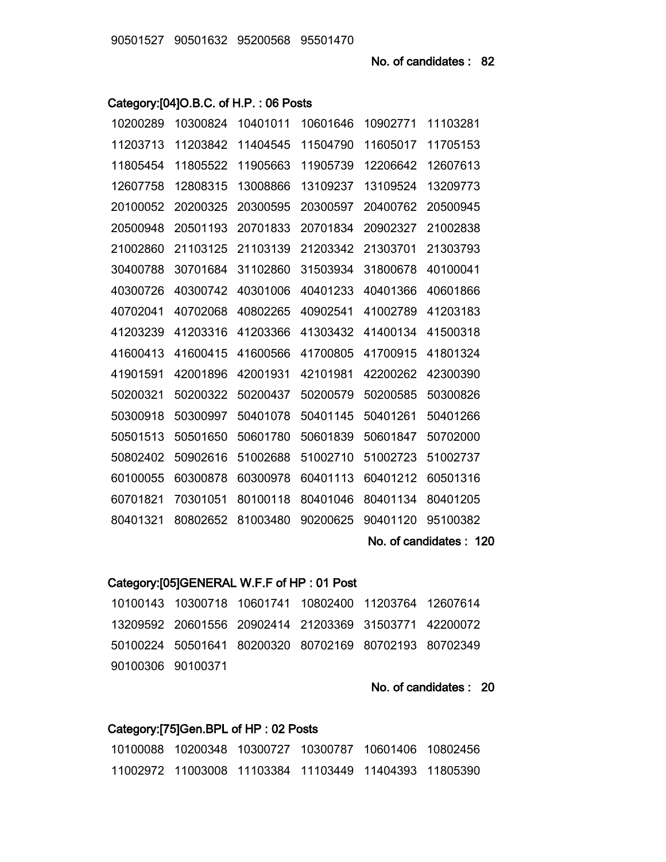### Category:[04]O.B.C. of H.P. : 06 Posts

|          | No. of candidates: 120 |          |          |          |          |
|----------|------------------------|----------|----------|----------|----------|
| 80401321 | 80802652               | 81003480 | 90200625 | 90401120 | 95100382 |
| 60701821 | 70301051               | 80100118 | 80401046 | 80401134 | 80401205 |
| 60100055 | 60300878               | 60300978 | 60401113 | 60401212 | 60501316 |
| 50802402 | 50902616               | 51002688 | 51002710 | 51002723 | 51002737 |
| 50501513 | 50501650               | 50601780 | 50601839 | 50601847 | 50702000 |
| 50300918 | 50300997               | 50401078 | 50401145 | 50401261 | 50401266 |
| 50200321 | 50200322               | 50200437 | 50200579 | 50200585 | 50300826 |
| 41901591 | 42001896               | 42001931 | 42101981 | 42200262 | 42300390 |
| 41600413 | 41600415               | 41600566 | 41700805 | 41700915 | 41801324 |
| 41203239 | 41203316               | 41203366 | 41303432 | 41400134 | 41500318 |
| 40702041 | 40702068               | 40802265 | 40902541 | 41002789 | 41203183 |
| 40300726 | 40300742               | 40301006 | 40401233 | 40401366 | 40601866 |
| 30400788 | 30701684               | 31102860 | 31503934 | 31800678 | 40100041 |
| 21002860 | 21103125               | 21103139 | 21203342 | 21303701 | 21303793 |
| 20500948 | 20501193               | 20701833 | 20701834 | 20902327 | 21002838 |
| 20100052 | 20200325               | 20300595 | 20300597 | 20400762 | 20500945 |
| 12607758 | 12808315               | 13008866 | 13109237 | 13109524 | 13209773 |
| 11805454 | 11805522               | 11905663 | 11905739 | 12206642 | 12607613 |
| 11203713 | 11203842               | 11404545 | 11504790 | 11605017 | 11705153 |
| 10200289 | 10300824               | 10401011 | 10601646 | 10902771 | 11103281 |

#### Category:[05]GENERAL W.F.F of HP : 01 Post

10100143 10300718 10601741 10802400 11203764 12607614 13209592 20601556 20902414 21203369 31503771 42200072 50100224 50501641 80200320 80702169 80702193 80702349 90100306 90100371

No. of candidates : 20

#### Category:[75]Gen.BPL of HP : 02 Posts

10100088 10200348 10300727 10300787 10601406 10802456 11002972 11003008 11103384 11103449 11404393 11805390